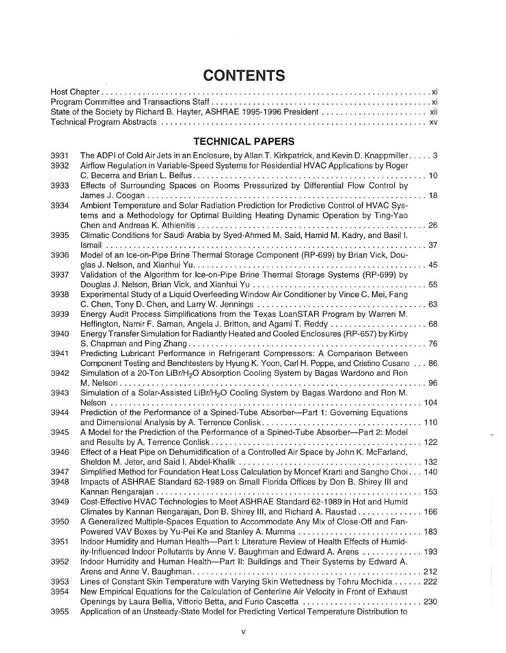# **CONTENTS**

## **TECHNICAL PAPERS**

| 3931 | The ADPI of Cold Air Jets in an Enclosure, by Allan T. Kirkpatrick, and Kevin D. Knappmiller 3                                                                       |
|------|----------------------------------------------------------------------------------------------------------------------------------------------------------------------|
| 3932 | Airflow Regulation in Variable-Speed Systems for Residential HVAC Applications by Roger                                                                              |
|      | $\ldots$ 10                                                                                                                                                          |
| 3933 | Effects of Surrounding Spaces on Rooms Pressurized by Differential Flow Control by                                                                                   |
|      | $\ldots$ 18                                                                                                                                                          |
| 3934 | Ambient Temperature and Solar Radiation Prediction for Predictive Control of HVAC Sys-                                                                               |
|      | tems and a Methodology for Optimal Building Heating Dynamic Operation by Ting-Yao                                                                                    |
|      | 26                                                                                                                                                                   |
| 3935 | Climatic Conditions for Saudi Arabia by Syed-Ahmed M. Said, Hamid M. Kadry, and Basil I.                                                                             |
|      |                                                                                                                                                                      |
| 3936 | Model of an Ice-on-Pipe Brine Thermal Storage Component (RP-699) by Brian Vick, Dou-                                                                                 |
|      | 45                                                                                                                                                                   |
| 3937 | Validation of the Algorithm for Ice-on-Pipe Brine Thermal Storage Systems (RP-699) by                                                                                |
|      | 55                                                                                                                                                                   |
| 3938 | Experimental Study of a Liquid Overfeeding Window Air Conditioner by Vince C. Mei, Fang                                                                              |
|      |                                                                                                                                                                      |
| 3939 | Energy Audit Process Simplifications from the Texas LoanSTAR Program by Warren M.<br>Heffington, Namir F. Saman, Angela J. Britton, and Agami T. Reddy  68           |
| 3940 | Energy Transfer Simulation for Radiantly Heated and Cooled Enclosures (RP-657) by Kirby                                                                              |
|      | $\ldots$ . 76                                                                                                                                                        |
| 3941 | Predicting Lubricant Performance in Refrigerant Compressors: A Comparison Between                                                                                    |
|      | Component Testing and Benchtesters by Hyung K. Yoon, Carl H. Poppe, and Cristino Cusano 86                                                                           |
| 3942 | Simulation of a 20-Ton LiBr/H <sub>2</sub> O Absorption Cooling System by Bagas Wardono and Ron                                                                      |
|      | M. Nelson<br>$\ldots$ 96                                                                                                                                             |
| 3943 | Simulation of a Solar-Assisted LiBr/H <sub>2</sub> O Cooling System by Bagas Wardono and Ron M.                                                                      |
|      | $\ldots$ 104<br>Nelson                                                                                                                                               |
| 3944 | Prediction of the Performance of a Spined-Tube Absorber--Part 1: Governing Equations                                                                                 |
|      | and Dimensional Analysis by A. Terrence Conlisk.<br>$\ldots$ . 110                                                                                                   |
| 3945 | A Model for the Prediction of the Performance of a Spined-Tube Absorber-Part 2: Model                                                                                |
|      | and Results by A. Terrence Conlisk<br>$\ldots$ 122                                                                                                                   |
| 3946 | Effect of a Heat Pipe on Dehumidification of a Controlled Air Space by John K. McFarland,                                                                            |
|      | Sheldon M. Jeter, and Said I. Abdel-Khalik<br>132                                                                                                                    |
| 3947 | Simplified Method for Foundation Heat Loss Calculation by Moncef Krarti and Sangho Choi 140                                                                          |
| 3948 | Impacts of ASHRAE Standard 62-1989 on Small Florida Offices by Don B. Shirey III and                                                                                 |
|      | Kannan Rengarajan<br>153                                                                                                                                             |
| 3949 | Cost-Effective HVAC Technologies to Meet ASHRAE Standard 62-1989 in Hot and Humid                                                                                    |
|      | Climates by Kannan Rengarajan, Don B. Shirey III, and Richard A. Raustad 166                                                                                         |
| 3950 | A Generalized Multiple-Spaces Equation to Accommodate Any Mix of Close-Off and Fan-                                                                                  |
|      | Powered VAV Boxes by Yu-Pei Ke and Stanley A. Mumma  183                                                                                                             |
| 3951 | Indoor Humidity and Human Health-Part I: Literature Review of Health Effects of Humid-                                                                               |
| 3952 | ity-Influenced Indoor Pollutants by Anne V. Baughman and Edward A. Arens  193<br>Indoor Humidity and Human Health--Part II: Buildings and Their Systems by Edward A. |
|      |                                                                                                                                                                      |
| 3953 | Lines of Constant Skin Temperature with Varying Skin Wettedness by Tohru Mochida 222                                                                                 |
| 3954 | New Empirical Equations for the Calculation of Centerline Air Velocity in Front of Exhaust                                                                           |
|      | Openings by Laura Bellia, Vittorio Betta, and Furio Cascetta  230                                                                                                    |
| 3955 | Application of an Unsteady-State Model for Predicting Vertical Temperature Distribution to                                                                           |
|      |                                                                                                                                                                      |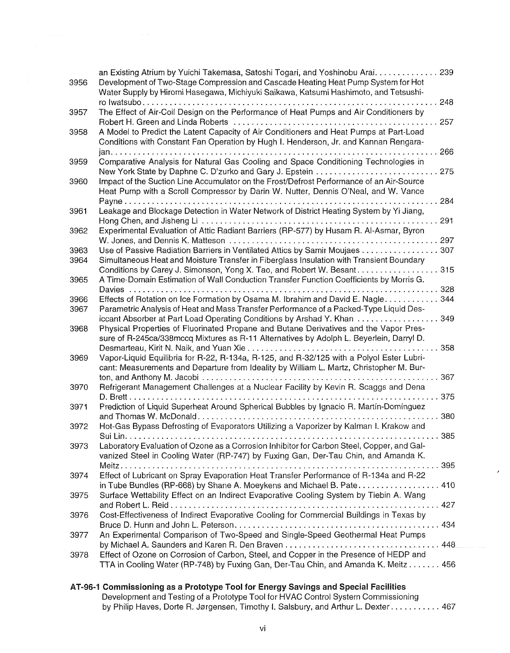| 3956 | an Existing Atrium by Yuichi Takemasa, Satoshi Togari, and Yoshinobu Arai. 239<br>Development of Two-Stage Compression and Cascade Heating Heat Pump System for Hot<br>Water Supply by Hiromi Hasegawa, Michiyuki Saikawa, Katsumi Hashimoto, and Tetsushi- |
|------|-------------------------------------------------------------------------------------------------------------------------------------------------------------------------------------------------------------------------------------------------------------|
| 3957 | 248<br>.<br>The Effect of Air-Coil Design on the Performance of Heat Pumps and Air Conditioners by<br>257                                                                                                                                                   |
| 3958 | A Model to Predict the Latent Capacity of Air Conditioners and Heat Pumps at Part-Load<br>Conditions with Constant Fan Operation by Hugh I. Henderson, Jr. and Kannan Rengara-<br>266<br>jan.                                                               |
| 3959 | Comparative Analysis for Natural Gas Cooling and Space Conditioning Technologies in<br>New York State by Daphne C. D'zurko and Gary J. Epstein<br>275                                                                                                       |
| 3960 | Impact of the Suction Line Accumulator on the Frost/Defrost Performance of an Air-Source<br>Heat Pump with a Scroll Compressor by Darin W. Nutter, Dennis O'Neal, and W. Vance                                                                              |
| 3961 | 284<br>Leakage and Blockage Detection in Water Network of District Heating System by Yi Jiang,<br>291                                                                                                                                                       |
| 3962 | Experimental Evaluation of Attic Radiant Barriers (RP-577) by Husam R. Al-Asmar, Byron<br>297<br>W. Jones, and Dennis K. Matteson                                                                                                                           |
| 3963 | Use of Passive Radiation Barriers in Ventilated Attics by Samir Moujaes<br>307                                                                                                                                                                              |
| 3964 | Simultaneous Heat and Moisture Transfer in Fiberglass Insulation with Transient Boundary                                                                                                                                                                    |
| 3965 | Conditions by Carey J. Simonson, Yong X. Tao, and Robert W. Besant<br>315<br>A Time-Domain Estimation of Wall Conduction Transfer Function Coefficients by Morris G.                                                                                        |
|      | 328<br>Davies                                                                                                                                                                                                                                               |
| 3966 | Effects of Rotation on Ice Formation by Osama M. Ibrahim and David E. Nagle<br>344                                                                                                                                                                          |
| 3967 | Parametric Analysis of Heat and Mass Transfer Performance of a Packed-Type Liquid Des-<br>349                                                                                                                                                               |
| 3968 | iccant Absorber at Part Load Operating Conditions by Arshad Y. Khan<br>Physical Properties of Fluorinated Propane and Butane Derivatives and the Vapor Pres-<br>sure of R-245ca/338mccq Mixtures as R-11 Alternatives by Adolph L. Beyerlein, Darryl D.     |
| 3969 | 358<br>Vapor-Liquid Equilibria for R-22, R-134a, R-125, and R-32/125 with a Polyol Ester Lubri-<br>cant: Measurements and Departure from Ideality by William L. Martz, Christopher M. Bur-                                                                  |
| 3970 | 367<br>Refrigerant Management Challenges at a Nuclear Facility by Kevin R. Scaggs and Dena<br>375                                                                                                                                                           |
| 3971 | Prediction of Liquid Superheat Around Spherical Bubbles by Ignacio R. Martín-Domínguez<br>380<br>and Thomas W. McDonald                                                                                                                                     |
| 3972 | Hot-Gas Bypass Defrosting of Evaporators Utilizing a Vaporizer by Kalman I. Krakow and                                                                                                                                                                      |
| 3973 | . .385<br>Laboratory Evaluation of Ozone as a Corrosion Inhibitor for Carbon Steel, Copper, and Gal-<br>vanized Steel in Cooling Water (RP-747) by Fuxing Gan, Der-Tau Chin, and Amanda K.                                                                  |
| 3974 | Effect of Lubricant on Spray Evaporation Heat Transfer Performance of R-134a and R-22<br>in Tube Bundles (RP-668) by Shane A. Moeykens and Michael B. Pate 410                                                                                              |
| 3975 | Surface Wettability Effect on an Indirect Evaporative Cooling System by Tiebin A. Wang                                                                                                                                                                      |
| 3976 | Cost-Effectiveness of Indirect Evaporative Cooling for Commercial Buildings in Texas by                                                                                                                                                                     |
| 3977 | An Experimental Comparison of Two-Speed and Single-Speed Geothermal Heat Pumps                                                                                                                                                                              |
| 3978 | Effect of Ozone on Corrosion of Carbon, Steel, and Copper in the Presence of HEDP and<br>TTA in Cooling Water (RP-748) by Fuxing Gan, Der-Tau Chin, and Amanda K. Meitz 456                                                                                 |
|      |                                                                                                                                                                                                                                                             |

**AT-96-1 Commissioning as a Prototype Tool for Energy Savings and Special Facilities** Development and Testing of a Prototype Tool for HVAC Control System Comrnissioning by Philip Haves, Dorte R. Jørgensen, Timothy I. Salsbury, and Arthur L. Dexter . . . . . . . . . . 467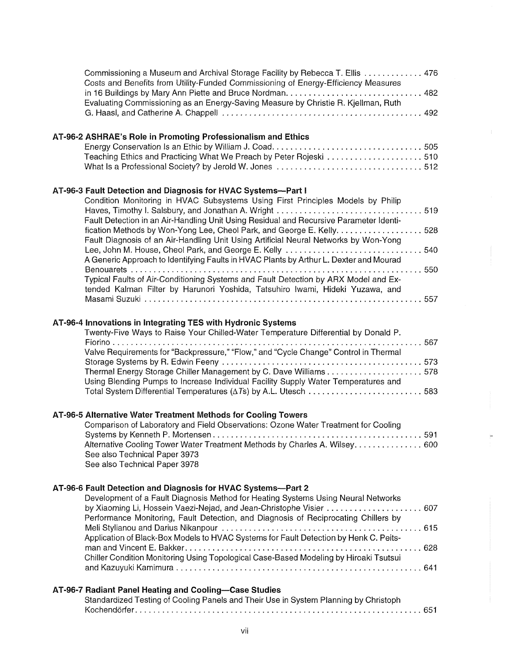| Commissioning a Museum and Archival Storage Facility by Rebecca T. Ellis  476<br>Costs and Benefits from Utility-Funded Commissioning of Energy-Efficiency Measures<br>in 16 Buildings by Mary Ann Piette and Bruce Nordman 482                                                                                                                                                                                                                                                                                                                                                                                                                                                                                                             |
|---------------------------------------------------------------------------------------------------------------------------------------------------------------------------------------------------------------------------------------------------------------------------------------------------------------------------------------------------------------------------------------------------------------------------------------------------------------------------------------------------------------------------------------------------------------------------------------------------------------------------------------------------------------------------------------------------------------------------------------------|
| Evaluating Commissioning as an Energy-Saving Measure by Christie R. Kjellman, Ruth                                                                                                                                                                                                                                                                                                                                                                                                                                                                                                                                                                                                                                                          |
| AT-96-2 ASHRAE's Role in Promoting Professionalism and Ethics<br>Teaching Ethics and Practicing What We Preach by Peter Rojeski 510<br>What Is a Professional Society? by Jerold W. Jones 512                                                                                                                                                                                                                                                                                                                                                                                                                                                                                                                                               |
| AT-96-3 Fault Detection and Diagnosis for HVAC Systems--- Part I<br>Condition Monitoring in HVAC Subsystems Using First Principles Models by Philip<br>Haves, Timothy I. Salsbury, and Jonathan A. Wright 519<br>Fault Detection in an Air-Handling Unit Using Residual and Recursive Parameter Identi-<br>fication Methods by Won-Yong Lee, Cheol Park, and George E. Kelly. 528<br>Fault Diagnosis of an Air-Handling Unit Using Artificial Neural Networks by Won-Yong<br>A Generic Approach to Identifying Faults in HVAC Plants by Arthur L. Dexter and Mourad<br>Typical Faults of Air-Conditioning Systems and Fault Detection by ARX Model and Ex-<br>tended Kalman Filter by Harunori Yoshida, Tatsuhiro Iwami, Hideki Yuzawa, and |
| AT-96-4 Innovations in Integrating TES with Hydronic Systems<br>Twenty-Five Ways to Raise Your Chilled-Water Temperature Differential by Donald P.<br>Valve Requirements for "Backpressure," "Flow," and "Cycle Change" Control in Thermal<br>Thermal Energy Storage Chiller Management by C. Dave Williams578<br>Using Blending Pumps to Increase Individual Facility Supply Water Temperatures and<br>Total System Differential Temperatures $(\Delta T_s)$ by A.L. Utesch 583                                                                                                                                                                                                                                                            |
| AT-96-5 Alternative Water Treatment Methods for Cooling Towers<br>Comparison of Laboratory and Field Observations: Ozone Water Treatment for Cooling<br>Alternative Cooling Tower Water Treatment Methods by Charles A. Wilsey. 600<br>See also Technical Paper 3973<br>See also Technical Paper 3978                                                                                                                                                                                                                                                                                                                                                                                                                                       |
| AT-96-6 Fault Detection and Diagnosis for HVAC Systems-Part 2<br>Development of a Fault Diagnosis Method for Heating Systems Using Neural Networks<br>by Xiaoming Li, Hossein Vaezi-Nejad, and Jean-Christophe Visier  607<br>Performance Monitoring, Fault Detection, and Diagnosis of Reciprocating Chillers by<br>Application of Black-Box Models to HVAC Systems for Fault Detection by Henk C. Peits-<br>Chiller Condition Monitoring Using Topological Case-Based Modeling by Hiroaki Tsutsui                                                                                                                                                                                                                                         |
| AT-96-7 Radiant Panel Heating and Cooling-Case Studies<br>Standardized Testing of Cooling Panels and Their Use in System Planning by Christoph                                                                                                                                                                                                                                                                                                                                                                                                                                                                                                                                                                                              |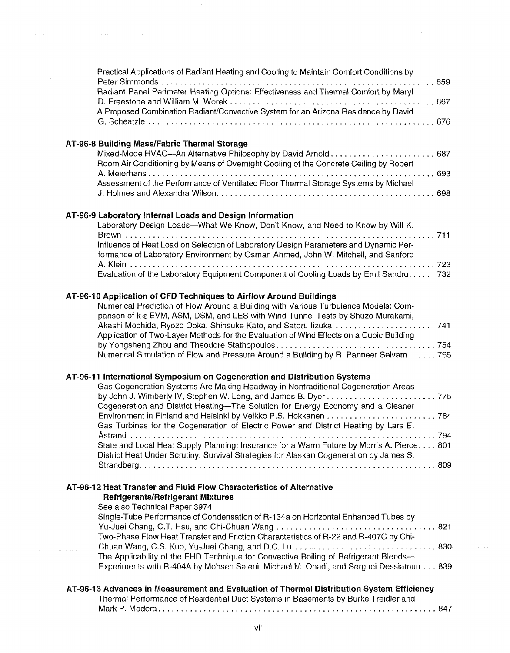| Practical Applications of Radiant Heating and Cooling to Maintain Comfort Conditions by<br>Radiant Panel Perimeter Heating Options: Effectiveness and Thermal Comfort by Maryl<br>A Proposed Combination Radiant/Convective System for an Arizona Residence by David                                                                                                                                                                                                                                                           |
|--------------------------------------------------------------------------------------------------------------------------------------------------------------------------------------------------------------------------------------------------------------------------------------------------------------------------------------------------------------------------------------------------------------------------------------------------------------------------------------------------------------------------------|
| AT-96-8 Building Mass/Fabric Thermal Storage<br>Room Air Conditioning by Means of Overnight Cooling of the Concrete Ceiling by Robert<br>Assessment of the Performance of Ventilated Floor Thermal Storage Systems by Michael                                                                                                                                                                                                                                                                                                  |
| AT-96-9 Laboratory Internal Loads and Design Information<br>Laboratory Design Loads--What We Know, Don't Know, and Need to Know by Will K.<br>. 711<br>.<br>Influence of Heat Load on Selection of Laboratory Design Parameters and Dynamic Per-<br>formance of Laboratory Environment by Osman Ahmed, John W. Mitchell, and Sanford<br>Evaluation of the Laboratory Equipment Component of Cooling Loads by Emil Sandru 732                                                                                                   |
| AT-96-10 Application of CFD Techniques to Airflow Around Buildings<br>Numerical Prediction of Flow Around a Building with Various Turbulence Models: Com-<br>parison of k-ε EVM, ASM, DSM, and LES with Wind Tunnel Tests by Shuzo Murakami,<br>Application of Two-Layer Methods for the Evaluation of Wind Effects on a Cubic Building<br>Numerical Simulation of Flow and Pressure Around a Building by R. Panneer Selvam 765                                                                                                |
| AT-96-11 International Symposium on Cogeneration and Distribution Systems<br>Gas Cogeneration Systems Are Making Headway in Nontraditional Cogeneration Areas<br>Cogeneration and District Heating-The Solution for Energy Economy and a Cleaner<br>Gas Turbines for the Cogeneration of Electric Power and District Heating by Lars E.<br>State and Local Heat Supply Planning: Insurance for a Warm Future by Morris A. Pierce 801<br>District Heat Under Scrutiny: Survival Strategies for Alaskan Cogeneration by James S. |
| AT-96-12 Heat Transfer and Fluid Flow Characteristics of Alternative<br><b>Refrigerants/Refrigerant Mixtures</b><br>See also Technical Paper 3974<br>Single-Tube Performance of Condensation of R-134a on Horizontal Enhanced Tubes by<br>Two-Phase Flow Heat Transfer and Friction Characteristics of R-22 and R-407C by Chi-<br>The Applicability of the EHD Technique for Convective Boiling of Refrigerant Blends-<br>Experiments with R-404A by Mohsen Salehi, Michael M. Ohadi, and Serguei Dessiatoun 839               |
| AT-96-13 Advances in Measurement and Evaluation of Thermal Distribution System Efficiency<br>Thermal Performance of Residential Duct Systems in Basements by Burke Treidler and                                                                                                                                                                                                                                                                                                                                                |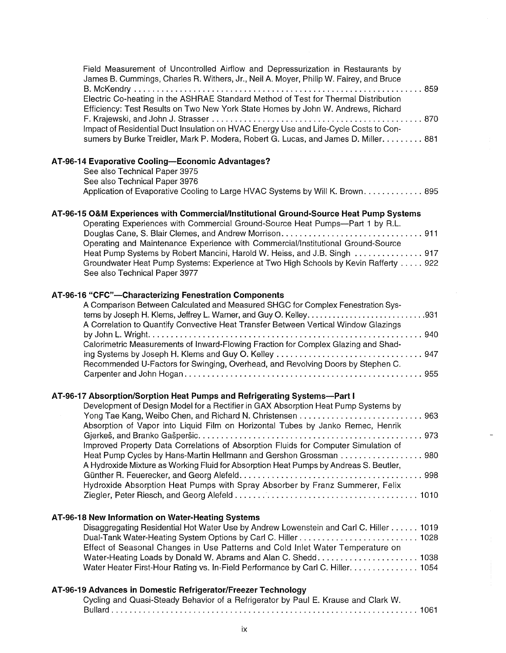| Field Measurement of Uncontrolled Airflow and Depressurization in Restaurants by<br>James B. Cummings, Charles R. Withers, Jr., Neil A. Moyer, Philip W. Fairey, and Bruce   |  |  |
|------------------------------------------------------------------------------------------------------------------------------------------------------------------------------|--|--|
| Electric Co-heating in the ASHRAE Standard Method of Test for Thermal Distribution<br>Efficiency: Test Results on Two New York State Homes by John W. Andrews, Richard       |  |  |
| Impact of Residential Duct Insulation on HVAC Energy Use and Life-Cycle Costs to Con-<br>sumers by Burke Treidler, Mark P. Modera, Robert G. Lucas, and James D. Miller. 881 |  |  |
| AT-96-14 Evaporative Cooling-Economic Advantages?<br>See also Technical Paper 3975                                                                                           |  |  |
| See also Technical Paper 3976<br>Application of Evaporative Cooling to Large HVAC Systems by Will K. Brown. 895                                                              |  |  |
| AT-96-15 O&M Experiences with Commercial/Institutional Ground-Source Heat Pump Systems<br>Operating Experiences with Commercial Ground-Source Heat Pumps-Part 1 by R.L.      |  |  |
| Operating and Maintenance Experience with Commercial/Institutional Ground-Source<br>Heat Pump Systems by Robert Mancini, Harold W. Heiss, and J.B. Singh  917                |  |  |
| Groundwater Heat Pump Systems: Experience at Two High Schools by Kevin Rafferty  922<br>See also Technical Paper 3977                                                        |  |  |
| AT-96-16 "CFC"--Characterizing Fenestration Components                                                                                                                       |  |  |
| A Comparison Between Calculated and Measured SHGC for Complex Fenestration Sys-<br>A Correlation to Quantify Convective Heat Transfer Between Vertical Window Glazings       |  |  |
| Calorimetric Measurements of Inward-Flowing Fraction for Complex Glazing and Shad-                                                                                           |  |  |
| Recommended U-Factors for Swinging, Overhead, and Revolving Doors by Stephen C.                                                                                              |  |  |
| AT-96-17 Absorption/Sorption Heat Pumps and Refrigerating Systems-Part I                                                                                                     |  |  |
| Development of Design Model for a Rectifier in GAX Absorption Heat Pump Systems by<br>Absorption of Vapor into Liquid Film on Horizontal Tubes by Janko Remec, Henrik        |  |  |
| Improved Property Data Correlations of Absorption Fluids for Computer Simulation of                                                                                          |  |  |
| Heat Pump Cycles by Hans-Martin Hellmann and Gershon Grossman  980<br>A Hydroxide Mixture as Working Fluid for Absorption Heat Pumps by Andreas S. Beutler,                  |  |  |
| Hydroxide Absorption Heat Pumps with Spray Absorber by Franz Summerer, Felix                                                                                                 |  |  |
| AT-96-18 New Information on Water-Heating Systems                                                                                                                            |  |  |
| Disaggregating Residential Hot Water Use by Andrew Lowenstein and Carl C. Hiller 1019                                                                                        |  |  |
| Effect of Seasonal Changes in Use Patterns and Cold Inlet Water Temperature on<br>Water Heater First-Hour Rating vs. In-Field Performance by Carl C. Hiller. 1054            |  |  |
| AT-96-19 Advances in Domestic Refrigerator/Freezer Technology                                                                                                                |  |  |

Cycling and Quasi-Steady Behavior of a Refrigerator by Paul E. Krause and Clark W. Bullard ................................................................... 1061